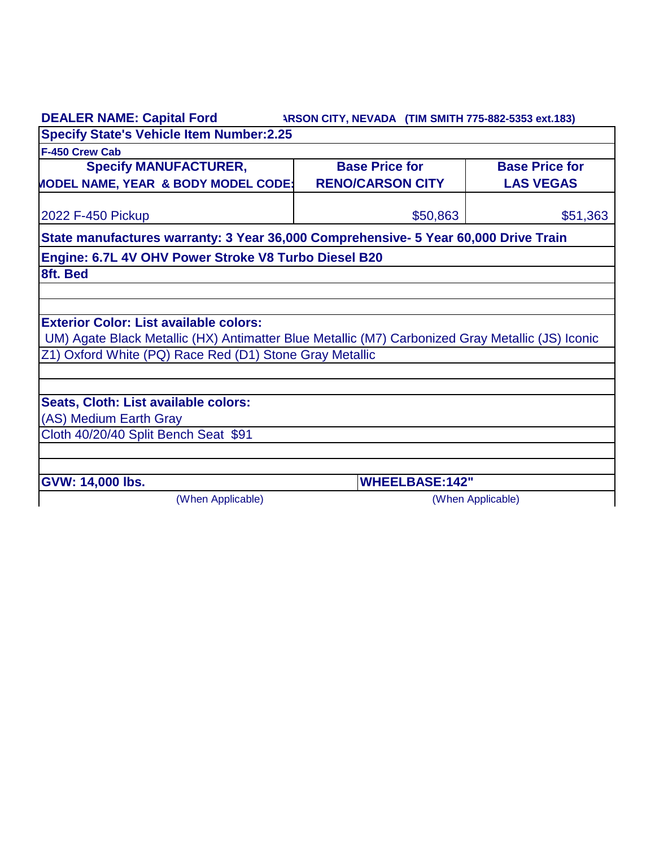| <b>DEALER NAME: Capital Ford</b>                                                                 | ARSON CITY, NEVADA (TIM SMITH 775-882-5353 ext.183) |                       |
|--------------------------------------------------------------------------------------------------|-----------------------------------------------------|-----------------------|
| <b>Specify State's Vehicle Item Number:2.25</b>                                                  |                                                     |                       |
| F-450 Crew Cab                                                                                   |                                                     |                       |
| <b>Specify MANUFACTURER,</b>                                                                     | <b>Base Price for</b>                               | <b>Base Price for</b> |
| <b>MODEL NAME, YEAR &amp; BODY MODEL CODE:</b>                                                   | <b>RENO/CARSON CITY</b>                             | <b>LAS VEGAS</b>      |
| 2022 F-450 Pickup                                                                                | \$50,863                                            | \$51,363              |
| State manufactures warranty: 3 Year 36,000 Comprehensive- 5 Year 60,000 Drive Train              |                                                     |                       |
| Engine: 6.7L 4V OHV Power Stroke V8 Turbo Diesel B20                                             |                                                     |                       |
| 8ft. Bed                                                                                         |                                                     |                       |
|                                                                                                  |                                                     |                       |
|                                                                                                  |                                                     |                       |
| <b>Exterior Color: List available colors:</b>                                                    |                                                     |                       |
| UM) Agate Black Metallic (HX) Antimatter Blue Metallic (M7) Carbonized Gray Metallic (JS) Iconic |                                                     |                       |
| Z1) Oxford White (PQ) Race Red (D1) Stone Gray Metallic                                          |                                                     |                       |
|                                                                                                  |                                                     |                       |
| Seats, Cloth: List available colors:                                                             |                                                     |                       |
| (AS) Medium Earth Gray                                                                           |                                                     |                       |
| Cloth 40/20/40 Split Bench Seat \$91                                                             |                                                     |                       |
|                                                                                                  |                                                     |                       |
| GVW: 14,000 lbs.                                                                                 | <b>WHEELBASE:142"</b>                               |                       |
| (When Applicable)                                                                                | (When Applicable)                                   |                       |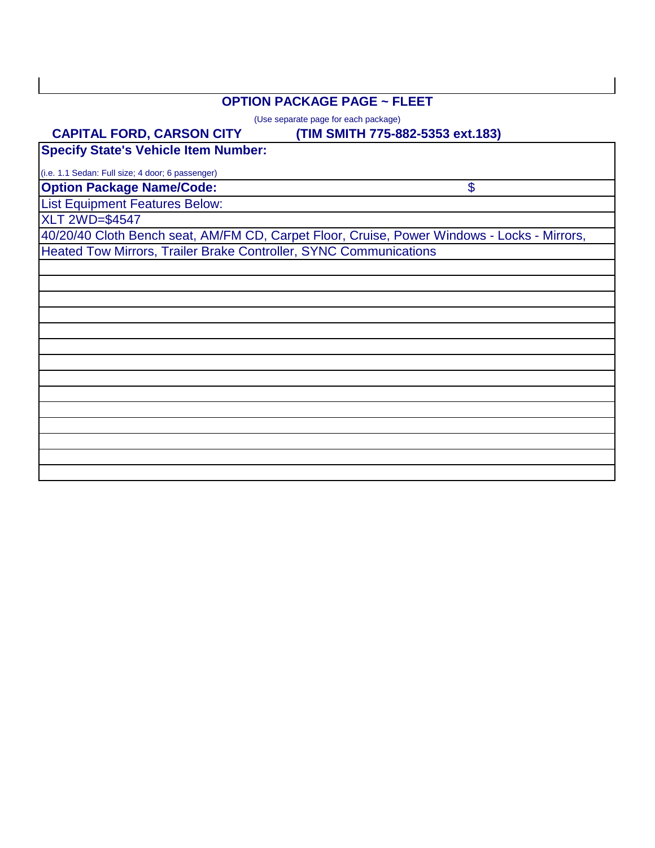## **OPTION PACKAGE PAGE ~ FLEET**

(Use separate page for each package)

#### **(TIM SMITH 775-882-5353 ext.183)**

\$

 **CAPITAL FORD, CARSON CITY Specify State's Vehicle Item Number:**

(i.e. 1.1 Sedan: Full size; 4 door; 6 passenger)

**Option Package Name/Code:**

List Equipment Features Below:

XLT 2WD=\$4547

40/20/40 Cloth Bench seat, AM/FM CD, Carpet Floor, Cruise, Power Windows - Locks - Mirrors, Heated Tow Mirrors, Trailer Brake Controller, SYNC Communications